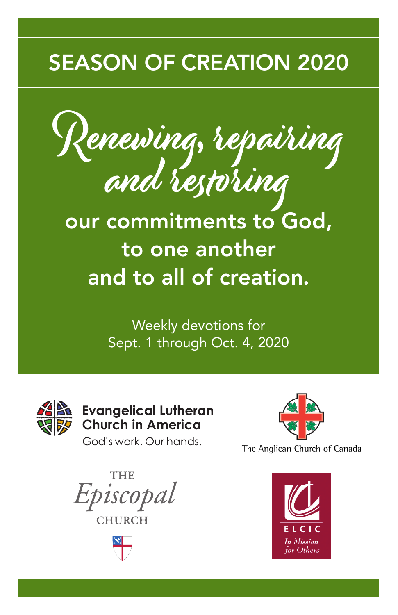## SEASON OF CREATION 2020

Renewing, repairing<br>and restoring

our commitments to God, to one another and to all of creation.

> Weekly devotions for Sept. 1 through Oct. 4, 2020



**Evangelical Lutheran Church in America** 

God's work, Our hands,



The Anglican Church of Canada

THE Episcopal **CHURCH** 



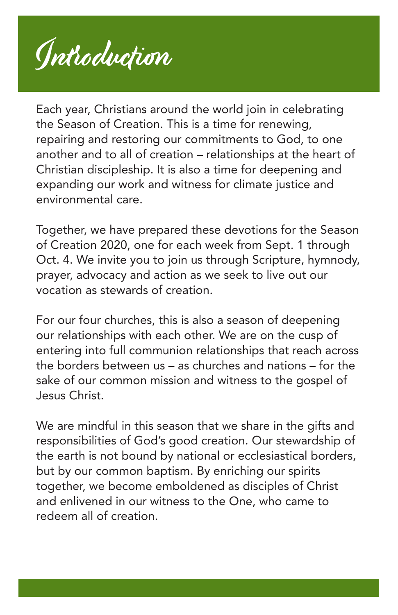Introduction

Each year, Christians around the world join in celebrating the Season of Creation. This is a time for renewing, repairing and restoring our commitments to God, to one another and to all of creation – relationships at the heart of Christian discipleship. It is also a time for deepening and expanding our work and witness for climate justice and environmental care.

Together, we have prepared these devotions for the Season of Creation 2020, one for each week from Sept. 1 through Oct. 4. We invite you to join us through Scripture, hymnody, prayer, advocacy and action as we seek to live out our vocation as stewards of creation.

For our four churches, this is also a season of deepening our relationships with each other. We are on the cusp of entering into full communion relationships that reach across the borders between us – as churches and nations – for the sake of our common mission and witness to the gospel of Jesus Christ.

We are mindful in this season that we share in the gifts and responsibilities of God's good creation. Our stewardship of the earth is not bound by national or ecclesiastical borders, but by our common baptism. By enriching our spirits together, we become emboldened as disciples of Christ and enlivened in our witness to the One, who came to redeem all of creation.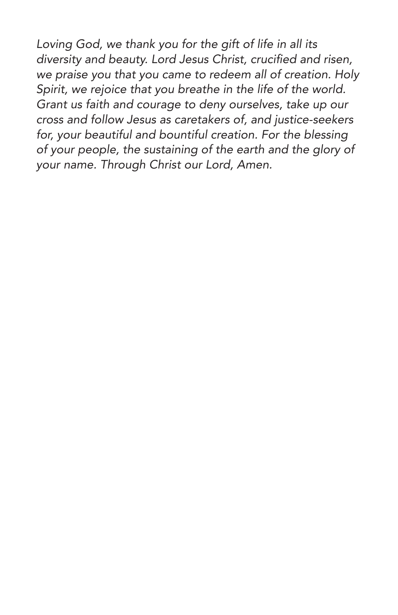*Loving God, we thank you for the gift of life in all its*  diversity and beauty. Lord Jesus Christ, crucified and risen, *we praise you that you came to redeem all of creation. Holy Spirit, we rejoice that you breathe in the life of the world. Grant us faith and courage to deny ourselves, take up our cross and follow Jesus as caretakers of, and justice-seekers for, your beautiful and bountiful creation. For the blessing of your people, the sustaining of the earth and the glory of your name. Through Christ our Lord, Amen.*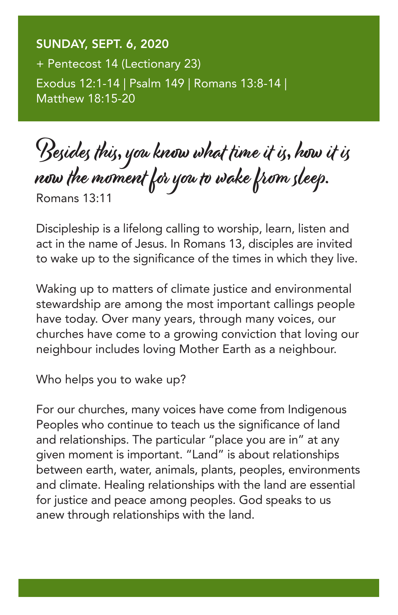SUNDAY, SEPT. 6, 2020 + Pentecost 14 (Lectionary 23) Exodus 12:1-14 | Psalm 149 | Romans 13:8-14 | Matthew 18:15-20

Besides this, you know what time it is, how it is now the moment for you to wake from sleep. Romans 13:11

Discipleship is a lifelong calling to worship, learn, listen and act in the name of Jesus. In Romans 13, disciples are invited to wake up to the significance of the times in which they live.

Waking up to matters of climate justice and environmental stewardship are among the most important callings people have today. Over many years, through many voices, our churches have come to a growing conviction that loving our neighbour includes loving Mother Earth as a neighbour.

Who helps you to wake up?

For our churches, many voices have come from Indigenous Peoples who continue to teach us the significance of land and relationships. The particular "place you are in" at any given moment is important. "Land" is about relationships between earth, water, animals, plants, peoples, environments and climate. Healing relationships with the land are essential for justice and peace among peoples. God speaks to us anew through relationships with the land.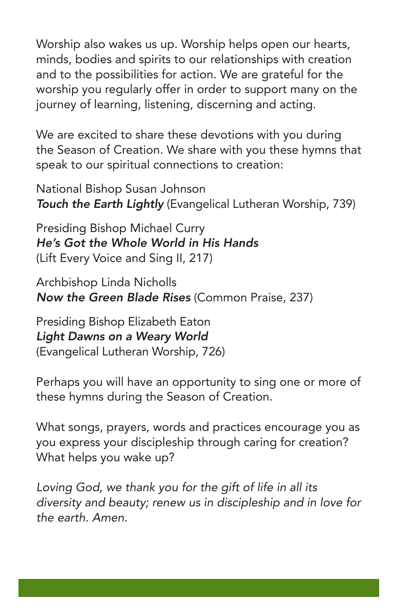Worship also wakes us up. Worship helps open our hearts, minds, bodies and spirits to our relationships with creation and to the possibilities for action. We are grateful for the worship you regularly offer in order to support many on the journey of learning, listening, discerning and acting.

We are excited to share these devotions with you during the Season of Creation. We share with you these hymns that speak to our spiritual connections to creation:

National Bishop Susan Johnson *Touch the Earth Lightly* (Evangelical Lutheran Worship, 739)

Presiding Bishop Michael Curry *He's Got the Whole World in His Hands* (Lift Every Voice and Sing II, 217)

Archbishop Linda Nicholls *Now the Green Blade Rises* (Common Praise, 237)

Presiding Bishop Elizabeth Eaton *Light Dawns on a Weary World* (Evangelical Lutheran Worship, 726)

Perhaps you will have an opportunity to sing one or more of these hymns during the Season of Creation.

What songs, prayers, words and practices encourage you as you express your discipleship through caring for creation? What helps you wake up?

*Loving God, we thank you for the gift of life in all its diversity and beauty; renew us in discipleship and in love for the earth. Amen.*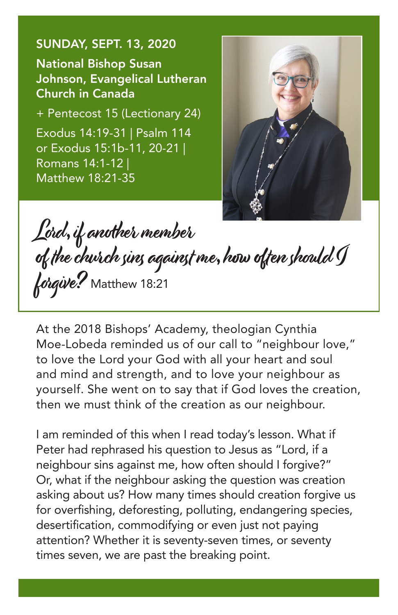## SUNDAY, SEPT. 13, 2020

National Bishop Susan Johnson, Evangelical Lutheran Church in Canada

+ Pentecost 15 (Lectionary 24) Exodus 14:19-31 | Psalm 114 or Exodus 15:1b-11, 20-21 | Romans 14:1-12 | Matthew 18:21-35



Lord, if another member of the church sins against me, how often should I forgive? Matthew 18:21

At the 2018 Bishops' Academy, theologian Cynthia Moe-Lobeda reminded us of our call to "neighbour love," to love the Lord your God with all your heart and soul and mind and strength, and to love your neighbour as yourself. She went on to say that if God loves the creation, then we must think of the creation as our neighbour.

I am reminded of this when I read today's lesson. What if Peter had rephrased his question to Jesus as "Lord, if a neighbour sins against me, how often should I forgive?" Or, what if the neighbour asking the question was creation asking about us? How many times should creation forgive us for overfishing, deforesting, polluting, endangering species, desertification, commodifying or even just not paying attention? Whether it is seventy-seven times, or seventy times seven, we are past the breaking point.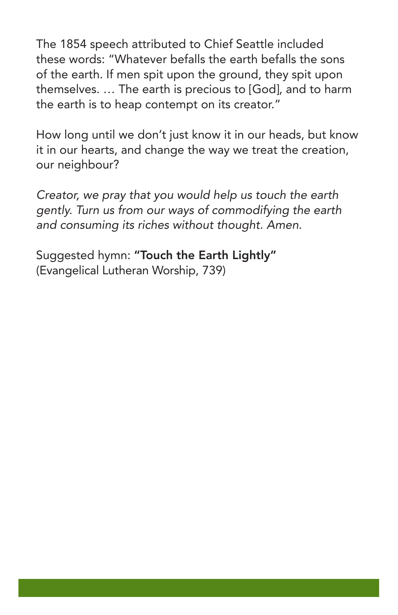The 1854 speech attributed to Chief Seattle included these words: "Whatever befalls the earth befalls the sons of the earth. If men spit upon the ground, they spit upon themselves. … The earth is precious to [God], and to harm the earth is to heap contempt on its creator."

How long until we don't just know it in our heads, but know it in our hearts, and change the way we treat the creation, our neighbour?

*Creator, we pray that you would help us touch the earth gently. Turn us from our ways of commodifying the earth and consuming its riches without thought. Amen.*

Suggested hymn: "Touch the Earth Lightly" (Evangelical Lutheran Worship, 739)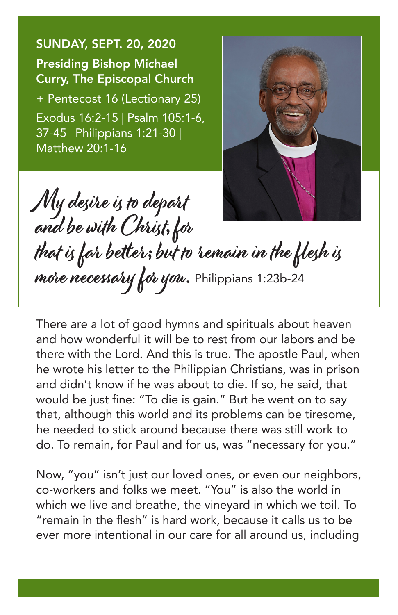SUNDAY, SEPT. 20, 2020 Presiding Bishop Michael Curry, The Episcopal Church + Pentecost 16 (Lectionary 25) Exodus 16:2-15 | Psalm 105:1-6, 37-45 | Philippians 1:21-30 | Matthew 20:1-16



My desire is to depart and be with Christ, for that is far better; but to remain in the flesh is more necessary for you. Philippians 1:23b-24

There are a lot of good hymns and spirituals about heaven and how wonderful it will be to rest from our labors and be there with the Lord. And this is true. The apostle Paul, when he wrote his letter to the Philippian Christians, was in prison and didn't know if he was about to die. If so, he said, that would be just fine: "To die is gain." But he went on to say that, although this world and its problems can be tiresome, he needed to stick around because there was still work to do. To remain, for Paul and for us, was "necessary for you."

Now, "you" isn't just our loved ones, or even our neighbors, co-workers and folks we meet. "You" is also the world in which we live and breathe, the vineyard in which we toil. To "remain in the flesh" is hard work, because it calls us to be ever more intentional in our care for all around us, including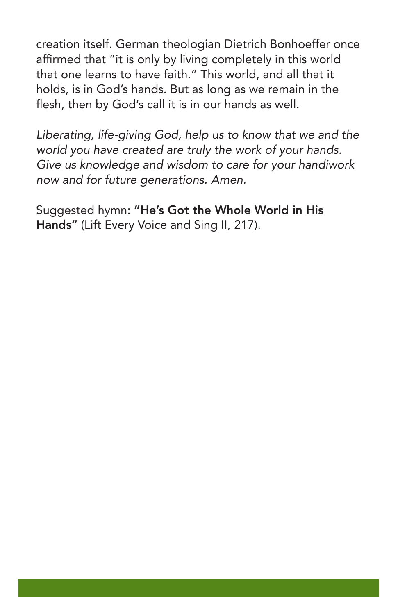creation itself. German theologian Dietrich Bonhoeffer once affirmed that "it is only by living completely in this world that one learns to have faith." This world, and all that it holds, is in God's hands. But as long as we remain in the flesh, then by God's call it is in our hands as well.

*Liberating, life-giving God, help us to know that we and the world you have created are truly the work of your hands. Give us knowledge and wisdom to care for your handiwork now and for future generations. Amen.* 

Suggested hymn: "He's Got the Whole World in His Hands" (Lift Every Voice and Sing II, 217).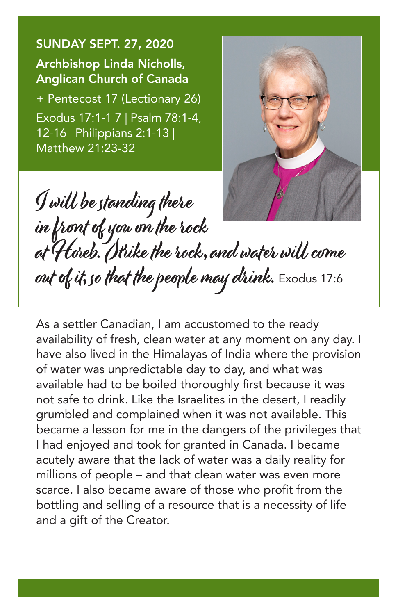SUNDAY SEPT. 27, 2020 Archbishop Linda Nicholls, Anglican Church of Canada

+ Pentecost 17 (Lectionary 26) Exodus 17:1-1 7 | Psalm 78:1-4, 12-16 | Philippians 2:1-13 | Matthew 21:23-32



I will be standing there in front of you on the rock at Horeb. Strike the rock, and water will come out of it, so that the people may drink. Exodus 17:6

As a settler Canadian, I am accustomed to the ready availability of fresh, clean water at any moment on any day. I have also lived in the Himalayas of India where the provision of water was unpredictable day to day, and what was available had to be boiled thoroughly first because it was not safe to drink. Like the Israelites in the desert, I readily grumbled and complained when it was not available. This became a lesson for me in the dangers of the privileges that I had enjoyed and took for granted in Canada. I became acutely aware that the lack of water was a daily reality for millions of people – and that clean water was even more scarce. I also became aware of those who profit from the bottling and selling of a resource that is a necessity of life and a gift of the Creator.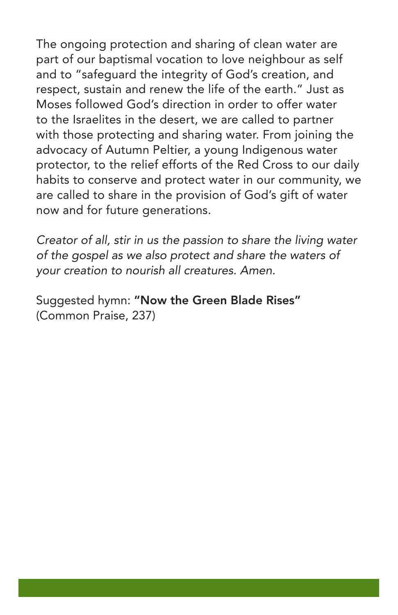The ongoing protection and sharing of clean water are part of our baptismal vocation to love neighbour as self and to "safeguard the integrity of God's creation, and respect, sustain and renew the life of the earth." Just as Moses followed God's direction in order to offer water to the Israelites in the desert, we are called to partner with those protecting and sharing water. From joining the advocacy of Autumn Peltier, a young Indigenous water protector, to the relief efforts of the Red Cross to our daily habits to conserve and protect water in our community, we are called to share in the provision of God's gift of water now and for future generations.

*Creator of all, stir in us the passion to share the living water of the gospel as we also protect and share the waters of your creation to nourish all creatures. Amen.*

Suggested hymn: "Now the Green Blade Rises" (Common Praise, 237)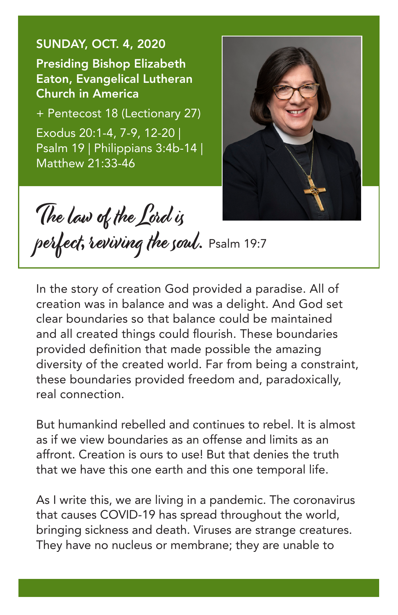SUNDAY, OCT. 4, 2020 Presiding Bishop Elizabeth Eaton, Evangelical Lutheran Church in America

+ Pentecost 18 (Lectionary 27) Exodus 20:1-4, 7-9, 12-20 | Psalm 19 | Philippians 3:4b-14 | Matthew 21:33-46



The law of the Lord is

perfect, reviving the soul. Psalm 19:7

In the story of creation God provided a paradise. All of creation was in balance and was a delight. And God set clear boundaries so that balance could be maintained and all created things could flourish. These boundaries provided definition that made possible the amazing diversity of the created world. Far from being a constraint, these boundaries provided freedom and, paradoxically, real connection.

But humankind rebelled and continues to rebel. It is almost as if we view boundaries as an offense and limits as an affront. Creation is ours to use! But that denies the truth that we have this one earth and this one temporal life.

As I write this, we are living in a pandemic. The coronavirus that causes COVID-19 has spread throughout the world, bringing sickness and death. Viruses are strange creatures. They have no nucleus or membrane; they are unable to